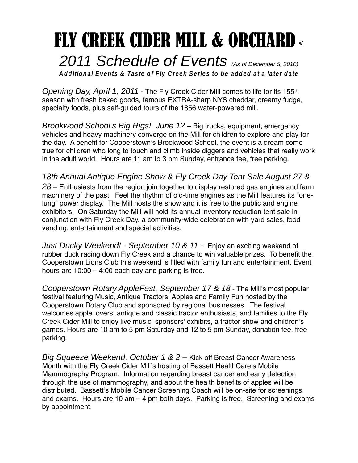## FLY CREEK CIDER MILL & ORCHARD ® 2011 Schedule of Events (As of December 5, 2010)

**Additional Events & Taste of Fly Creek Series to be added at a later date**

Opening Day, April 1, 2011 - The Fly Creek Cider Mill comes to life for its 155<sup>th</sup> season with fresh baked goods, famous EXTRA-sharp NYS cheddar, creamy fudge, specialty foods, plus self-guided tours of the 1856 water-powered mill.

Brookwood School s Big Rigs! June 12 – Big trucks, equipment, emergency vehicles and heavy machinery converge on the Mill for children to explore and play for the day. A benefit for Cooperstown's Brookwood School, the event is a dream come true for children who long to touch and climb inside diggers and vehicles that really work in the adult world. Hours are 11 am to 3 pm Sunday, entrance fee, free parking.

## 18th Annual Antique Engine Show & Fly Creek Day Tent Sale August 27 &

 $28$  – Enthusiasts from the region join together to display restored gas engines and farm machinery of the past. Feel the rhythm of old-time engines as the Mill features its "onelung" power display. The Mill hosts the show and it is free to the public and engine exhibitors. On Saturday the Mill will hold its annual inventory reduction tent sale in conjunction with Fly Creek Day, a community-wide celebration with yard sales, food vending, entertainment and special activities.

Just Ducky Weekend! - September 10 & 11 - Enjoy an exciting weekend of rubber duck racing down Fly Creek and a chance to win valuable prizes. To benefit the Cooperstown Lions Club this weekend is filled with family fun and entertainment. Event hours are 10:00 – 4:00 each day and parking is free.

Cooperstown Rotary AppleFest, September 17 & 18 - The Mill's most popular festival featuring Music, Antique Tractors, Apples and Family Fun hosted by the Cooperstown Rotary Club and sponsored by regional businesses. The festival welcomes apple lovers, antique and classic tractor enthusiasts, and families to the Fly Creek Cider Mill to enjoy live music, sponsors' exhibits, a tractor show and children's games. Hours are 10 am to 5 pm Saturday and 12 to 5 pm Sunday, donation fee, free parking.

Big Squeeze Weekend, October 1 & 2 – Kick off Breast Cancer Awareness Month with the Fly Creek Cider Mill's hosting of Bassett HealthCare's Mobile Mammography Program. Information regarding breast cancer and early detection through the use of mammography, and about the health benefits of apples will be distributed. Bassett's Mobile Cancer Screening Coach will be on-site for screenings and exams. Hours are 10 am – 4 pm both days. Parking is free. Screening and exams by appointment.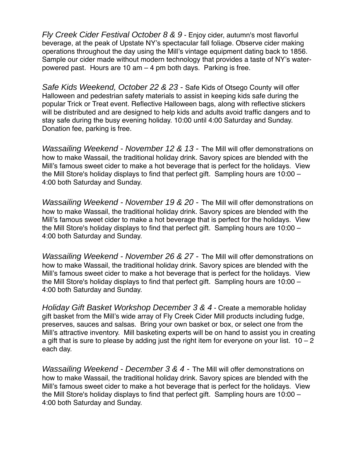Fly Creek Cider Festival October 8 & 9 - Enjoy cider, autumn's most flavorful beverage, at the peak of Upstate NY's spectacular fall foliage. Observe cider making operations throughout the day using the Mill's vintage equipment dating back to 1856. Sample our cider made without modern technology that provides a taste of NY's waterpowered past. Hours are 10 am – 4 pm both days. Parking is free.

Safe Kids Weekend, October 22 & 23 - Safe Kids of Otsego County will offer Halloween and pedestrian safety materials to assist in keeping kids safe during the popular Trick or Treat event. Reflective Halloween bags, along with reflective stickers will be distributed and are designed to help kids and adults avoid traffic dangers and to stay safe during the busy evening holiday. 10:00 until 4:00 Saturday and Sunday. Donation fee, parking is free.

Wassailing Weekend - November 12 & 13 - The Mill will offer demonstrations on how to make Wassail, the traditional holiday drink. Savory spices are blended with the Mill's famous sweet cider to make a hot beverage that is perfect for the holidays. View the Mill Store's holiday displays to find that perfect gift. Sampling hours are 10:00 – 4:00 both Saturday and Sunday.

Wassailing Weekend - November 19 & 20 - The Mill will offer demonstrations on how to make Wassail, the traditional holiday drink. Savory spices are blended with the Mill's famous sweet cider to make a hot beverage that is perfect for the holidays. View the Mill Store's holiday displays to find that perfect gift. Sampling hours are 10:00 – 4:00 both Saturday and Sunday.

Wassailing Weekend - November 26 & 27 - The Mill will offer demonstrations on how to make Wassail, the traditional holiday drink. Savory spices are blended with the Mill's famous sweet cider to make a hot beverage that is perfect for the holidays. View the Mill Store's holiday displays to find that perfect gift. Sampling hours are 10:00 – 4:00 both Saturday and Sunday.

Holiday Gift Basket Workshop December 3 & 4 - Create a memorable holiday gift basket from the Mill's wide array of Fly Creek Cider Mill products including fudge, preserves, sauces and salsas. Bring your own basket or box, or select one from the Mill's attractive inventory. Mill basketing experts will be on hand to assist you in creating a gift that is sure to please by adding just the right item for everyone on your list.  $10 - 2$ each day.

Wassailing Weekend - December 3 & 4 - The Mill will offer demonstrations on how to make Wassail, the traditional holiday drink. Savory spices are blended with the Mill's famous sweet cider to make a hot beverage that is perfect for the holidays. View the Mill Store's holiday displays to find that perfect gift. Sampling hours are 10:00 – 4:00 both Saturday and Sunday.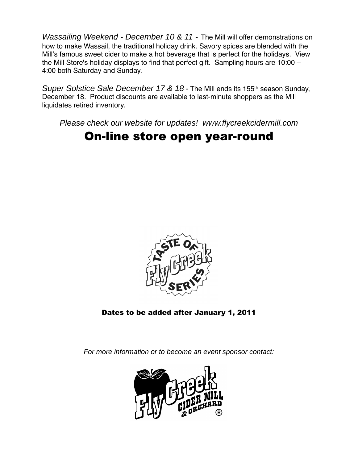Wassailing Weekend - December 10 & 11 - The Mill will offer demonstrations on how to make Wassail, the traditional holiday drink. Savory spices are blended with the Mill's famous sweet cider to make a hot beverage that is perfect for the holidays. View the Mill Store's holiday displays to find that perfect gift. Sampling hours are 10:00 – 4:00 both Saturday and Sunday.

Super Solstice Sale December 17 & 18 - The Mill ends its 155<sup>th</sup> season Sunday, December 18. Product discounts are available to last-minute shoppers as the Mill liquidates retired inventory.

Please check our website for updates! www.flycreekcidermill.com

## On-line store open year-round



Dates to be added after January 1, 2011

For more information or to become an event sponsor contact: